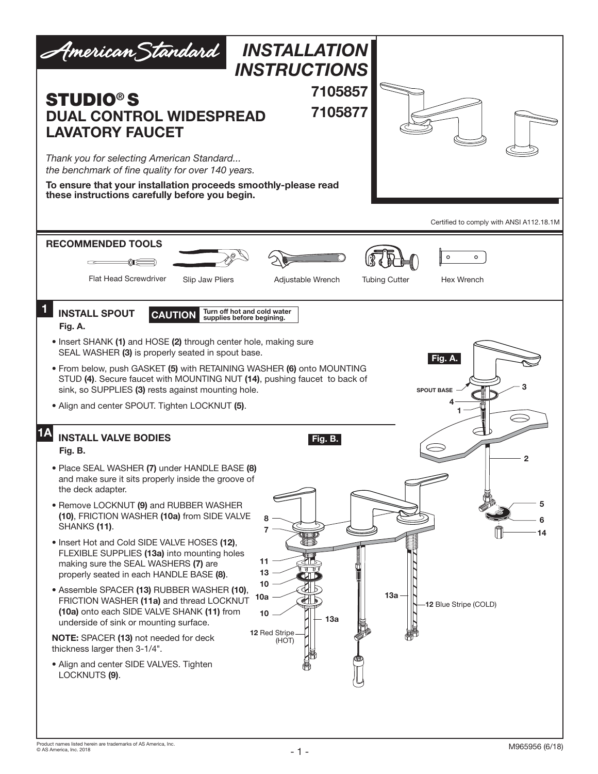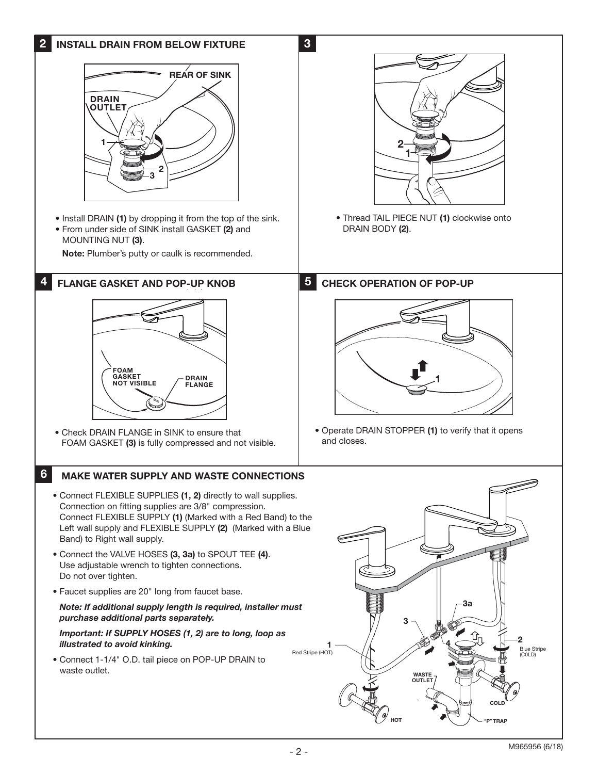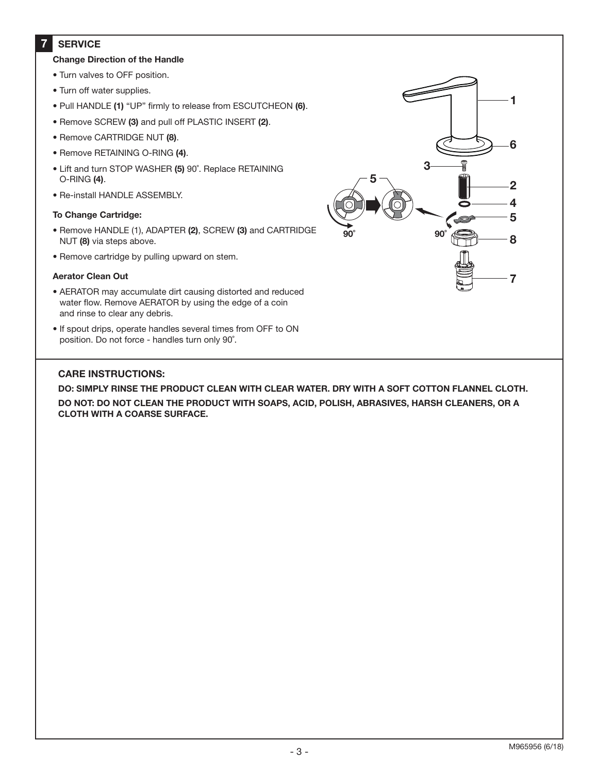#### **7 SERVICE**

## **Change Direction of the Handle**

- Turn valves to OFF position.
- Turn off water supplies.
- Pull HANDLE **(1)** "UP" firmly to release from ESCUTCHEON **(6)**.
- Remove SCREW **(3)** and pull off PLASTIC INSERT **(2)**.
- Remove CARTRIDGE NUT **(8)**.
- Remove RETAINING O-RING **(4)**.
- Lift and turn STOP WASHER **(5)** 90˚. Replace RETAINING O-RING **(4)**.
- Re-install HANDLE ASSEMBLY.

### **To Change Cartridge:**

- Remove HANDLE (1), ADAPTER **(2)**, SCREW **(3)** and CARTRIDGE NUT **(8)** via steps above.
- Remove cartridge by pulling upward on stem.

#### **Aerator Clean Out**

- AERATOR may accumulate dirt causing distorted and reduced water flow. Remove AERATOR by using the edge of a coin and rinse to clear any debris.
- If spout drips, operate handles several times from OFF to ON position. Do not force - handles turn only 90˚.

# **CARE INSTRUCTIONS:**

**DO: SIMPLY RINSE THE PRODUCT CLEAN WITH CLEAR WATER. DRY WITH A SOFT COTTON FLANNEL CLOTH.**

**DO NOT: DO NOT CLEAN THE PRODUCT WITH SOAPS, ACID, POLISH, ABRASIVES, HARSH CLEANERS, OR A CLOTH WITH A COARSE SURFACE.**